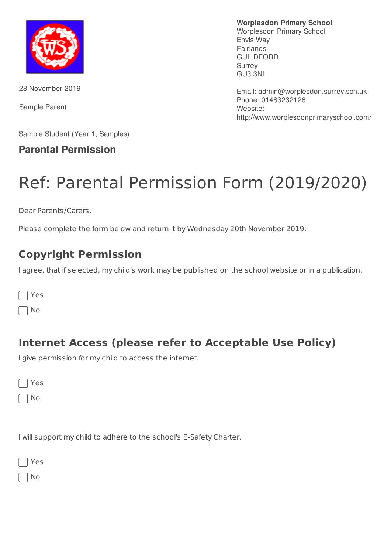

28 November 2019

Sample Parent

**Worplesdon Primary School**

Worplesdon Primary School Envis Way Fairlands GUILDFORD Surrey GU3 3NL

Email: admin@worplesdon.surrey.sch.uk Phone: 01483232126 Website: http://www.worplesdonprimaryschool.com/

Sample Student (Year 1, Samples)

#### **Parental Permission**

# Ref: Parental Permission Form (2019/2020)

Dear Parents/Carers,

Please complete the form below and return it by Wednesday 20th November 2019.

## **Copyright Permission**

I agree, that if selected, my child's work may be published on the school website or in a publication.

| -<br>л.<br>M. |  |
|---------------|--|
|---------------|--|

No

### **Internet Access (please refer to Acceptable Use Policy)**

I give permission for my child to access the internet.

No

I will support my child to adhere to the school's E-Safety Charter.

|  | ۰.<br>× |
|--|---------|
|--|---------|

No